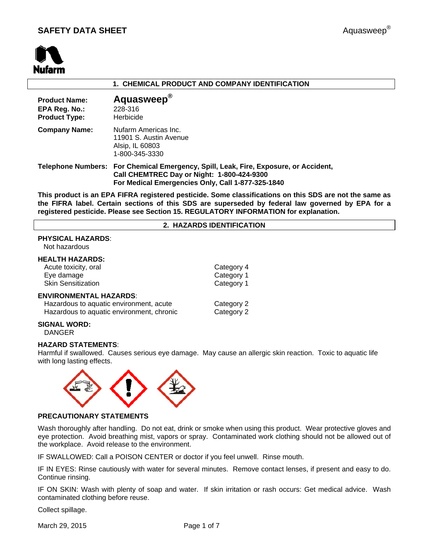

# **1. CHEMICAL PRODUCT AND COMPANY IDENTIFICATION**

| <b>Product Name:</b><br>EPA Reg. No.:<br><b>Product Type:</b> | Aquasweep <sup>®</sup><br>228-316<br>Herbicide                                                                                                                                          |
|---------------------------------------------------------------|-----------------------------------------------------------------------------------------------------------------------------------------------------------------------------------------|
| <b>Company Name:</b>                                          | Nufarm Americas Inc.<br>11901 S. Austin Avenue<br>Alsip, IL 60803<br>1-800-345-3330                                                                                                     |
|                                                               | Telephone Numbers: For Chemical Emergency, Spill, Leak, Fire, Exposure, or Accident,<br>Call CHEMTREC Day or Night: 1-800-424-9300<br>For Medical Emergencies Only, Call 1-877-325-1840 |

**This product is an EPA FIFRA registered pesticide. Some classifications on this SDS are not the same as the FIFRA label. Certain sections of this SDS are superseded by federal law governed by EPA for a registered pesticide. Please see Section 15. REGULATORY INFORMATION for explanation.**

#### **2. HAZARDS IDENTIFICATION**

# **PHYSICAL HAZARDS**:

Not hazardous

#### **HEALTH HAZARDS:**

| Acute toxicity, oral<br>Eye damage | Category 4<br>Category 1 |
|------------------------------------|--------------------------|
| <b>Skin Sensitization</b>          | Category 1               |
| <b>ENVIRONMENTAL HAZARDS:</b>      |                          |

| Hazardous to aquatic environment, acute   | Category 2 |
|-------------------------------------------|------------|
| Hazardous to aquatic environment, chronic | Category 2 |

#### **SIGNAL WORD:** DANGER

#### **HAZARD STATEMENTS**:

Harmful if swallowed. Causes serious eye damage. May cause an allergic skin reaction. Toxic to aquatic life with long lasting effects.



# **PRECAUTIONARY STATEMENTS**

Wash thoroughly after handling. Do not eat, drink or smoke when using this product. Wear protective gloves and eye protection. Avoid breathing mist, vapors or spray. Contaminated work clothing should not be allowed out of the workplace. Avoid release to the environment.

IF SWALLOWED: Call a POISON CENTER or doctor if you feel unwell. Rinse mouth.

IF IN EYES: Rinse cautiously with water for several minutes. Remove contact lenses, if present and easy to do. Continue rinsing.

IF ON SKIN: Wash with plenty of soap and water. If skin irritation or rash occurs: Get medical advice. Wash contaminated clothing before reuse.

Collect spillage.

March 29, 2015 **Page 1 of 7**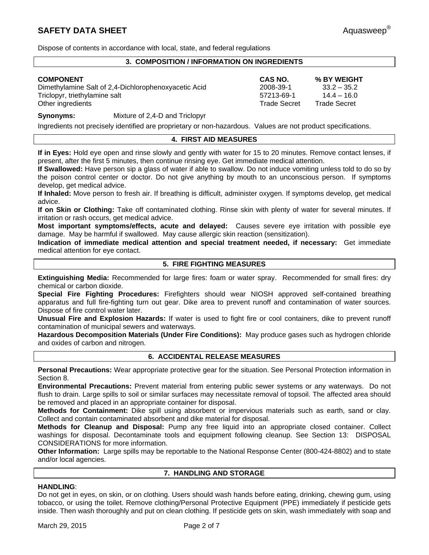Dispose of contents in accordance with local, state, and federal regulations

# **3. COMPOSITION / INFORMATION ON INGREDIENTS**

Dimethylamine Salt of 2,4-Dichlorophenoxyacetic Acid 2008-39-1 33.2 – 35.2<br>14.4 – 16.0 57213-69-1 14.4 – 16.0 Triclopyr, triethylamine salt 14.4 and 14.4 and 14.4  $\sim$  57213-69-1 Other ingredients **Trade Secret** Trade Secret Trade Secret Trade Secret Trade Secret Trade Secret Trade Secret Interventional Accounts and Trade Secret Interventional Accounts and Trade Secret Interventional Accounts and T

**COMPONENT CAS NO. % BY WEIGHT** 

**Synonyms:** Mixture of 2,4-D and Triclopyr

Ingredients not precisely identified are proprietary or non-hazardous. Values are not product specifications.

# **4. FIRST AID MEASURES**

**If in Eyes:** Hold eye open and rinse slowly and gently with water for 15 to 20 minutes. Remove contact lenses, if present, after the first 5 minutes, then continue rinsing eye. Get immediate medical attention.

**If Swallowed:** Have person sip a glass of water if able to swallow. Do not induce vomiting unless told to do so by the poison control center or doctor. Do not give anything by mouth to an unconscious person. If symptoms develop, get medical advice.

**If Inhaled:** Move person to fresh air. If breathing is difficult, administer oxygen. If symptoms develop, get medical advice.

**If on Skin or Clothing:** Take off contaminated clothing. Rinse skin with plenty of water for several minutes. If irritation or rash occurs, get medical advice.

**Most important symptoms/effects, acute and delayed:** Causes severe eye irritation with possible eye damage. May be harmful if swallowed. May cause allergic skin reaction (sensitization).

**Indication of immediate medical attention and special treatment needed, if necessary:** Get immediate medical attention for eye contact.

# **5. FIRE FIGHTING MEASURES**

**Extinguishing Media:** Recommended for large fires: foam or water spray. Recommended for small fires: dry chemical or carbon dioxide.

**Special Fire Fighting Procedures:** Firefighters should wear NIOSH approved self-contained breathing apparatus and full fire-fighting turn out gear. Dike area to prevent runoff and contamination of water sources. Dispose of fire control water later.

**Unusual Fire and Explosion Hazards:** If water is used to fight fire or cool containers, dike to prevent runoff contamination of municipal sewers and waterways.

**Hazardous Decomposition Materials (Under Fire Conditions):** May produce gases such as hydrogen chloride and oxides of carbon and nitrogen.

# **6. ACCIDENTAL RELEASE MEASURES**

**Personal Precautions:** Wear appropriate protective gear for the situation. See Personal Protection information in Section 8.

**Environmental Precautions:** Prevent material from entering public sewer systems or any waterways. Do not flush to drain. Large spills to soil or similar surfaces may necessitate removal of topsoil. The affected area should be removed and placed in an appropriate container for disposal.

**Methods for Containment:** Dike spill using absorbent or impervious materials such as earth, sand or clay. Collect and contain contaminated absorbent and dike material for disposal.

**Methods for Cleanup and Disposal:** Pump any free liquid into an appropriate closed container. Collect washings for disposal. Decontaminate tools and equipment following cleanup. See Section 13: DISPOSAL CONSIDERATIONS for more information.

**Other Information:** Large spills may be reportable to the National Response Center (800-424-8802) and to state and/or local agencies.

# **7. HANDLING AND STORAGE**

# **HANDLING**:

Do not get in eyes, on skin, or on clothing. Users should wash hands before eating, drinking, chewing gum, using tobacco, or using the toilet. Remove clothing/Personal Protective Equipment (PPE) immediately if pesticide gets inside. Then wash thoroughly and put on clean clothing. If pesticide gets on skin, wash immediately with soap and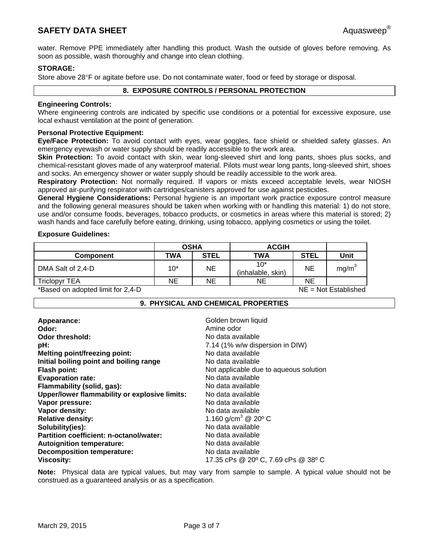# **SAFETY DATA SHEET** Aquasweep®

water. Remove PPE immediately after handling this product. Wash the outside of gloves before removing. As soon as possible, wash thoroughly and change into clean clothing.

# **STORAGE:**

Store above 28°F or agitate before use. Do not contaminate water, food or feed by storage or disposal.

# **8. EXPOSURE CONTROLS / PERSONAL PROTECTION**

# **Engineering Controls:**

Where engineering controls are indicated by specific use conditions or a potential for excessive exposure, use local exhaust ventilation at the point of generation.

#### **Personal Protective Equipment:**

**Eye/Face Protection:** To avoid contact with eyes, wear goggles, face shield or shielded safety glasses. An emergency eyewash or water supply should be readily accessible to the work area.

**Skin Protection:** To avoid contact with skin, wear long-sleeved shirt and long pants, shoes plus socks, and chemical-resistant gloves made of any waterproof material. Pilots must wear long pants, long-sleeved shirt, shoes and socks. An emergency shower or water supply should be readily accessible to the work area.

**Respiratory Protection:** Not normally required. If vapors or mists exceed acceptable levels, wear NIOSH approved air-purifying respirator with cartridges/canisters approved for use against pesticides.

**General Hygiene Considerations:** Personal hygiene is an important work practice exposure control measure and the following general measures should be taken when working with or handling this material: 1) do not store, use and/or consume foods, beverages, tobacco products, or cosmetics in areas where this material is stored; 2) wash hands and face carefully before eating, drinking, using tobacco, applying cosmetics or using the toilet.

#### **Exposure Guidelines:**

|            |             | <b>ACGIH</b>               |             |                   |  |
|------------|-------------|----------------------------|-------------|-------------------|--|
| <b>TWA</b> | <b>STEL</b> | TWA                        | <b>STEL</b> | Unit              |  |
| 10*        | ΝE          | $10*$<br>(inhalable, skin) | NE          | mg/m <sup>3</sup> |  |
| ΝE         | ΝE          | ΝE                         | <b>NE</b>   |                   |  |
|            |             |                            |             |                   |  |

\*Based on adopted limit for 2,4-D NE = Not Established

#### **9. PHYSICAL AND CHEMICAL PROPERTIES**

| Appearance:                                   | Golden brown liquid                         |
|-----------------------------------------------|---------------------------------------------|
| Odor:                                         | Amine odor                                  |
| Odor threshold:                               | No data available                           |
| pH:                                           | 7.14 (1% w/w dispersion in DIW)             |
| <b>Melting point/freezing point:</b>          | No data available                           |
| Initial boiling point and boiling range       | No data available                           |
| <b>Flash point:</b>                           | Not applicable due to aqueous solution      |
| <b>Evaporation rate:</b>                      | No data available                           |
| Flammability (solid, gas):                    | No data available                           |
| Upper/lower flammability or explosive limits: | No data available                           |
| Vapor pressure:                               | No data available                           |
| Vapor density:                                | No data available                           |
| <b>Relative density:</b>                      | 1.160 g/cm <sup>3</sup> @ 20 <sup>o</sup> C |
| Solubility(ies):                              | No data available                           |
| Partition coefficient: n-octanol/water:       | No data available                           |
| <b>Autoignition temperature:</b>              | No data available                           |
| <b>Decomposition temperature:</b>             | No data available                           |
| <b>Viscosity:</b>                             | 17.35 cPs @ 20° C, 7.69 cPs @ 38° C         |

**Note:** Physical data are typical values, but may vary from sample to sample. A typical value should not be construed as a guaranteed analysis or as a specification.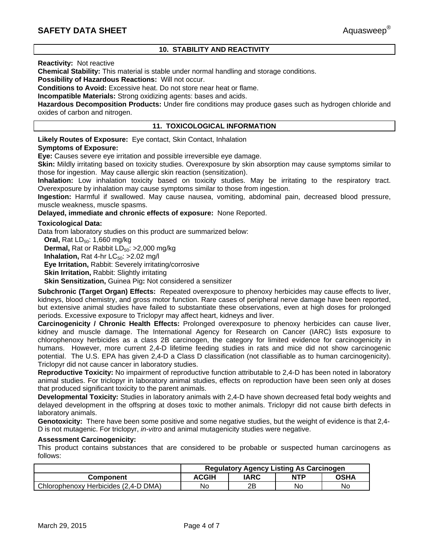# **10. STABILITY AND REACTIVITY**

#### **Reactivity:** Not reactive

**Chemical Stability:** This material is stable under normal handling and storage conditions.

**Possibility of Hazardous Reactions:** Will not occur.

**Conditions to Avoid:** Excessive heat. Do not store near heat or flame.

**Incompatible Materials:** Strong oxidizing agents: bases and acids.

**Hazardous Decomposition Products:** Under fire conditions may produce gases such as hydrogen chloride and oxides of carbon and nitrogen.

# **11. TOXICOLOGICAL INFORMATION**

**Likely Routes of Exposure:** Eye contact, Skin Contact, Inhalation

#### **Symptoms of Exposure:**

**Eye:** Causes severe eye irritation and possible irreversible eye damage.

**Skin:** Mildly irritating based on toxicity studies. Overexposure by skin absorption may cause symptoms similar to those for ingestion. May cause allergic skin reaction (sensitization).

**Inhalation:** Low inhalation toxicity based on toxicity studies. May be irritating to the respiratory tract. Overexposure by inhalation may cause symptoms similar to those from ingestion.

**Ingestion:** Harmful if swallowed. May cause nausea, vomiting, abdominal pain, decreased blood pressure, muscle weakness, muscle spasms.

**Delayed, immediate and chronic effects of exposure:** None Reported.

# **Toxicological Data:**

Data from laboratory studies on this product are summarized below:

**Oral, Rat LD<sub>50</sub>: 1,660 mg/kg Dermal, Rat or Rabbit LD<sub>50</sub>: >2,000 mg/kg Inhalation, Rat 4-hr**  $LC_{50}$ **: >2.02 mg/l Eye Irritation,** Rabbit: Severely irritating/corrosive **Skin Irritation,** Rabbit: Slightly irritating **Skin Sensitization,** Guinea Pig**:** Not considered a sensitizer

**Subchronic (Target Organ) Effects:** Repeated overexposure to phenoxy herbicides may cause effects to liver, kidneys, blood chemistry, and gross motor function. Rare cases of peripheral nerve damage have been reported, but extensive animal studies have failed to substantiate these observations, even at high doses for prolonged periods. Excessive exposure to Triclopyr may affect heart, kidneys and liver.

**Carcinogenicity / Chronic Health Effects:** Prolonged overexposure to phenoxy herbicides can cause liver, kidney and muscle damage. The International Agency for Research on Cancer (IARC) lists exposure to chlorophenoxy herbicides as a class 2B carcinogen, the category for limited evidence for carcinogenicity in humans. However, more current 2,4-D lifetime feeding studies in rats and mice did not show carcinogenic potential. The U.S. EPA has given 2,4-D a Class D classification (not classifiable as to human carcinogenicity). Triclopyr did not cause cancer in laboratory studies.

**Reproductive Toxicity:** No impairment of reproductive function attributable to 2,4-D has been noted in laboratory animal studies. For triclopyr in laboratory animal studies, effects on reproduction have been seen only at doses that produced significant toxicity to the parent animals.

**Developmental Toxicity:** Studies in laboratory animals with 2,4-D have shown decreased fetal body weights and delayed development in the offspring at doses toxic to mother animals. Triclopyr did not cause birth defects in laboratory animals.

**Genotoxicity:** There have been some positive and some negative studies, but the weight of evidence is that 2,4- D is not mutagenic. For triclopyr, *in-vitro* and animal mutagenicity studies were negative.

#### **Assessment Carcinogenicity:**

This product contains substances that are considered to be probable or suspected human carcinogens as follows:

|                                      | <b>Regulatory Agency Listing As Carcinogen</b> |      |            |             |
|--------------------------------------|------------------------------------------------|------|------------|-------------|
| Component                            | <b>ACGIH</b>                                   | IARC | <b>NTP</b> | <b>OSHA</b> |
| Chlorophenoxy Herbicides (2,4-D DMA) | No                                             | 2Β   | No         | No          |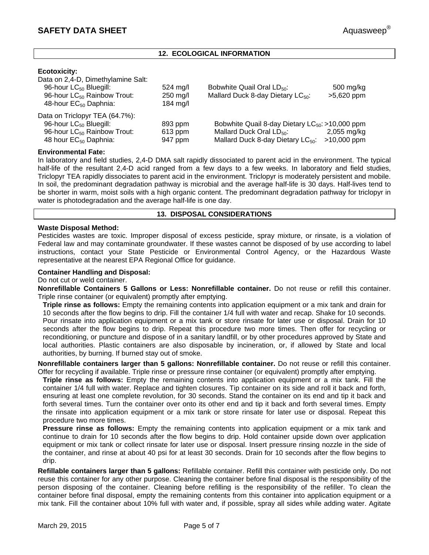# **12. ECOLOGICAL INFORMATION**

# **Ecotoxicity:**

| Data on 2,4-D, Dimethylamine Salt:      |                    |                                                      |               |
|-----------------------------------------|--------------------|------------------------------------------------------|---------------|
| 96-hour LC <sub>50</sub> Bluegill:      | $524 \text{ mg/l}$ | Bobwhite Quail Oral LD <sub>50</sub> :               | 500 mg/kg     |
| 96-hour LC <sub>50</sub> Rainbow Trout: | 250 mg/l           | Mallard Duck 8-day Dietary LC <sub>50</sub> :        | $>5,620$ ppm  |
| 48-hour EC <sub>50</sub> Daphnia:       | 184 mg/l           |                                                      |               |
| Data on Triclopyr TEA (64.7%):          |                    |                                                      |               |
| 96-hour LC <sub>50</sub> Bluegill:      | 893 ppm            | Bobwhite Quail 8-day Dietary $LC_{50}$ : >10,000 ppm |               |
| 96-hour LC <sub>50</sub> Rainbow Trout: | $613$ ppm          | Mallard Duck Oral LD <sub>50</sub> :                 | $2,055$ mg/kg |
| 48 hour EC <sub>50</sub> Daphnia:       | 947 ppm            | Mallard Duck 8-day Dietary LC <sub>50</sub> :        | $>10,000$ ppm |
|                                         |                    |                                                      |               |

# **Environmental Fate:**

In laboratory and field studies, 2,4-D DMA salt rapidly dissociated to parent acid in the environment. The typical half-life of the resultant 2,4-D acid ranged from a few days to a few weeks. In laboratory and field studies, Triclopyr TEA rapidly dissociates to parent acid in the environment. Triclopyr is moderately persistent and mobile. In soil, the predominant degradation pathway is microbial and the average half-life is 30 days. Half-lives tend to be shorter in warm, moist soils with a high organic content. The predominant degradation pathway for triclopyr in water is photodegradation and the average half-life is one day.

#### **13. DISPOSAL CONSIDERATIONS**

# **Waste Disposal Method:**

Pesticides wastes are toxic. Improper disposal of excess pesticide, spray mixture, or rinsate, is a violation of Federal law and may contaminate groundwater. If these wastes cannot be disposed of by use according to label instructions, contact your State Pesticide or Environmental Control Agency, or the Hazardous Waste representative at the nearest EPA Regional Office for guidance.

#### **Container Handling and Disposal:**

Do not cut or weld container.

**Nonrefillable Containers 5 Gallons or Less: Nonrefillable container.** Do not reuse or refill this container. Triple rinse container (or equivalent) promptly after emptying.

**Triple rinse as follows:** Empty the remaining contents into application equipment or a mix tank and drain for 10 seconds after the flow begins to drip. Fill the container 1/4 full with water and recap. Shake for 10 seconds. Pour rinsate into application equipment or a mix tank or store rinsate for later use or disposal. Drain for 10 seconds after the flow begins to drip. Repeat this procedure two more times. Then offer for recycling or reconditioning, or puncture and dispose of in a sanitary landfill, or by other procedures approved by State and local authorities. Plastic containers are also disposable by incineration, or, if allowed by State and local authorities, by burning. If burned stay out of smoke.

**Nonrefillable containers larger than 5 gallons: Nonrefillable container.** Do not reuse or refill this container. Offer for recycling if available. Triple rinse or pressure rinse container (or equivalent) promptly after emptying.

**Triple rinse as follows:** Empty the remaining contents into application equipment or a mix tank. Fill the container 1/4 full with water. Replace and tighten closures. Tip container on its side and roll it back and forth, ensuring at least one complete revolution, for 30 seconds. Stand the container on its end and tip it back and forth several times. Turn the container over onto its other end and tip it back and forth several times. Empty the rinsate into application equipment or a mix tank or store rinsate for later use or disposal. Repeat this procedure two more times.

**Pressure rinse as follows:** Empty the remaining contents into application equipment or a mix tank and continue to drain for 10 seconds after the flow begins to drip. Hold container upside down over application equipment or mix tank or collect rinsate for later use or disposal. Insert pressure rinsing nozzle in the side of the container, and rinse at about 40 psi for at least 30 seconds. Drain for 10 seconds after the flow begins to drip.

**Refillable containers larger than 5 gallons:** Refillable container. Refill this container with pesticide only. Do not reuse this container for any other purpose. Cleaning the container before final disposal is the responsibility of the person disposing of the container. Cleaning before refilling is the responsibility of the refiller. To clean the container before final disposal, empty the remaining contents from this container into application equipment or a mix tank. Fill the container about 10% full with water and, if possible, spray all sides while adding water. Agitate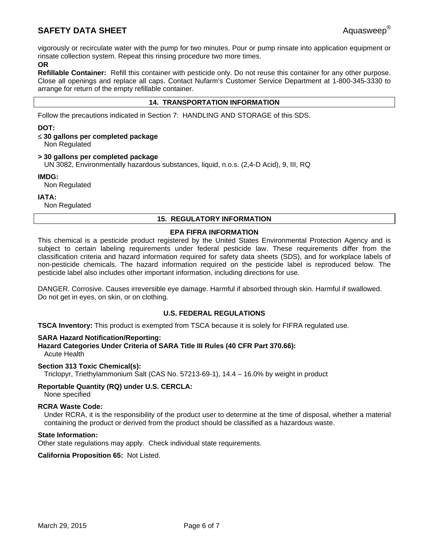# **SAFETY DATA SHEET** Aquasweep®

vigorously or recirculate water with the pump for two minutes. Pour or pump rinsate into application equipment or rinsate collection system. Repeat this rinsing procedure two more times.

# **OR**

**Refillable Container:** Refill this container with pesticide only. Do not reuse this container for any other purpose. Close all openings and replace all caps. Contact Nufarm's Customer Service Department at 1-800-345-3330 to arrange for return of the empty refillable container.

# **14. TRANSPORTATION INFORMATION**

Follow the precautions indicated in Section 7: HANDLING AND STORAGE of this SDS.

# **DOT:**

# **30 gallons per completed package**

Non Regulated

# **> 30 gallons per completed package**

UN 3082, Environmentally hazardous substances, liquid, n.o.s. (2,4-D Acid), 9, III, RQ

# **IMDG:**

Non Regulated

**IATA:** 

Non Regulated

# **15. REGULATORY INFORMATION**

# **EPA FIFRA INFORMATION**

This chemical is a pesticide product registered by the United States Environmental Protection Agency and is subject to certain labeling requirements under federal pesticide law. These requirements differ from the classification criteria and hazard information required for safety data sheets (SDS), and for workplace labels of non-pesticide chemicals. The hazard information required on the pesticide label is reproduced below. The pesticide label also includes other important information, including directions for use.

DANGER. Corrosive. Causes irreversible eye damage. Harmful if absorbed through skin. Harmful if swallowed. Do not get in eyes, on skin, or on clothing.

# **U.S. FEDERAL REGULATIONS**

**TSCA Inventory:** This product is exempted from TSCA because it is solely for FIFRA regulated use.

# **SARA Hazard Notification/Reporting:**

**Hazard Categories Under Criteria of SARA Title III Rules (40 CFR Part 370.66):** Acute Health

# **Section 313 Toxic Chemical(s):**

Triclopyr, Triethylammonium Salt (CAS No. 57213-69-1), 14.4 – 16.0% by weight in product

# **Reportable Quantity (RQ) under U.S. CERCLA:**

None specified

# **RCRA Waste Code:**

Under RCRA, it is the responsibility of the product user to determine at the time of disposal, whether a material containing the product or derived from the product should be classified as a hazardous waste.

# **State Information:**

Other state regulations may apply. Check individual state requirements.

**California Proposition 65:** Not Listed.